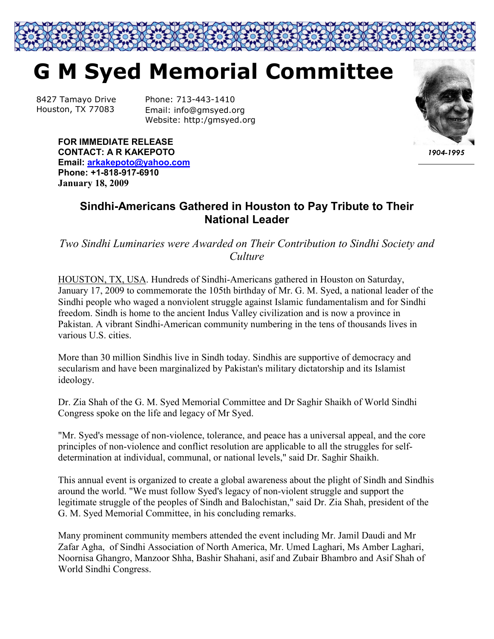

8427 Tamayo Drive Houston, TX 77083

Phone: 713-443-1410 Email: info@gmsyed.org Website: http:/gmsyed.org



*1904-1995*

**FOR IMMEDIATE RELEASE CONTACT: A R KAKEPOTO Email: arkakepoto@yahoo.com Phone: +1-818-917-6910 January 18, 2009** 

## **Sindhi-Americans Gathered in Houston to Pay Tribute to Their National Leader**

*Two Sindhi Luminaries were Awarded on Their Contribution to Sindhi Society and Culture* 

HOUSTON, TX, USA. Hundreds of Sindhi-Americans gathered in Houston on Saturday, January 17, 2009 to commemorate the 105th birthday of Mr. G. M. Syed, a national leader of the Sindhi people who waged a nonviolent struggle against Islamic fundamentalism and for Sindhi freedom. Sindh is home to the ancient Indus Valley civilization and is now a province in Pakistan. A vibrant Sindhi-American community numbering in the tens of thousands lives in various U.S. cities.

More than 30 million Sindhis live in Sindh today. Sindhis are supportive of democracy and secularism and have been marginalized by Pakistan's military dictatorship and its Islamist ideology.

Dr. Zia Shah of the G. M. Syed Memorial Committee and Dr Saghir Shaikh of World Sindhi Congress spoke on the life and legacy of Mr Syed.

"Mr. Syed's message of non-violence, tolerance, and peace has a universal appeal, and the core principles of non-violence and conflict resolution are applicable to all the struggles for selfdetermination at individual, communal, or national levels," said Dr. Saghir Shaikh.

This annual event is organized to create a global awareness about the plight of Sindh and Sindhis around the world. "We must follow Syed's legacy of non-violent struggle and support the legitimate struggle of the peoples of Sindh and Balochistan," said Dr. Zia Shah, president of the G. M. Syed Memorial Committee, in his concluding remarks.

Many prominent community members attended the event including Mr. Jamil Daudi and Mr Zafar Agha, of Sindhi Association of North America, Mr. Umed Laghari, Ms Amber Laghari, Noornisa Ghangro, Manzoor Shha, Bashir Shahani, asif and Zubair Bhambro and Asif Shah of World Sindhi Congress.